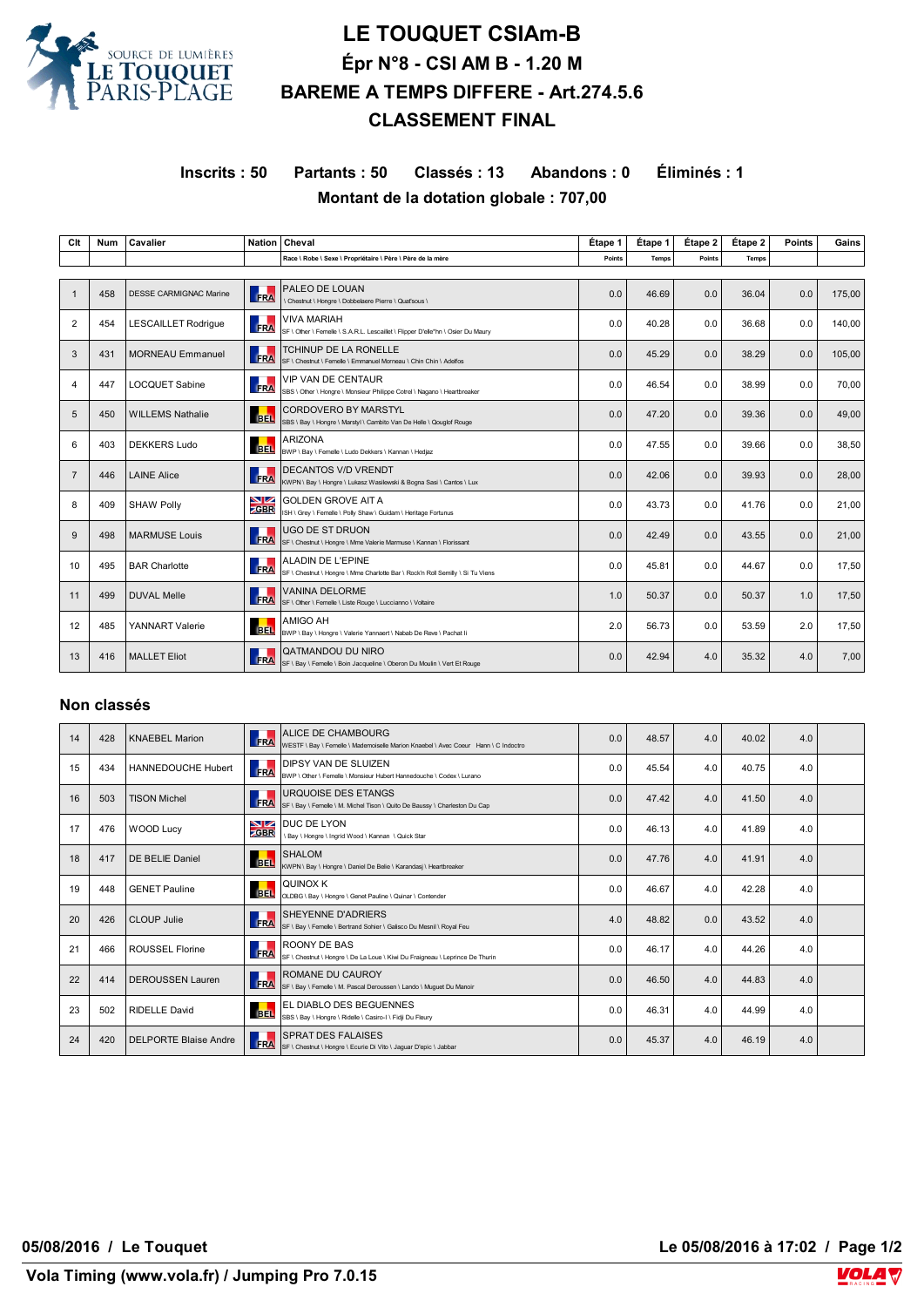

## **LE TOUQUET CSIAm-B Épr N°8 - CSI AM B - 1.20 M BAREME A TEMPS DIFFERE - Art.274.5.6 CLASSEMENT FINAL**

**Inscrits : 50 Partants : 50 Classés : 13 Abandons : 0 Éliminés : 1 Montant de la dotation globale : 707,00**

| Clt            | Num | Cavalier                      | <b>Nation</b>     | Cheval                                                                                                     | Étape 1 | Étape 1      | Étape 2 | Étape 2 | <b>Points</b> | Gains  |
|----------------|-----|-------------------------------|-------------------|------------------------------------------------------------------------------------------------------------|---------|--------------|---------|---------|---------------|--------|
|                |     |                               |                   | Race \ Robe \ Sexe \ Propriétaire \ Père \ Père de la mère                                                 | Points  | <b>Temps</b> | Points  | Temps   |               |        |
|                |     |                               |                   |                                                                                                            |         |              |         |         |               |        |
| $\mathbf 1$    | 458 | <b>DESSE CARMIGNAC Marine</b> | FRA               | PALEO DE LOUAN<br>\ Chestnut \ Hongre \ Dobbelaere Pierre \ Quat'sous \                                    | 0.0     | 46.69        | 0.0     | 36.04   | 0.0           | 175,00 |
| $\overline{2}$ | 454 | <b>LESCAILLET Rodrigue</b>    | FRA               | VIVA MARIAH<br>SF \ Other \ Femelle \ S.A.R.L. Lescaillet \ Flipper D'elle*hn \ Osier Du Maury             | 0.0     | 40.28        | 0.0     | 36.68   | 0.0           | 140.00 |
| 3              | 431 | <b>MORNEAU Emmanuel</b>       | FRA               | <b>TCHINUP DE LA RONELLE</b><br>SF \ Chestnut \ Femelle \ Emmanuel Morneau \ Chin Chin \ Adelfos           | 0.0     | 45.29        | 0.0     | 38.29   | 0.0           | 105,00 |
| 4              | 447 | <b>LOCQUET Sabine</b>         | л<br>FRA          | <b>VIP VAN DE CENTAUR</b><br>SBS \ Other \ Hongre \ Monsieur Philippe Cotrel \ Nagano \ Heartbreaker       | 0.0     | 46.54        | 0.0     | 38.99   | 0.0           | 70.00  |
| 5              | 450 | <b>WILLEMS Nathalie</b>       | <b>BEL</b>        | <b>CORDOVERO BY MARSTYL</b><br>SBS \ Bay \ Hongre \ Marstyl \ Cambito Van De Helle \ Qouglof Rouge         | 0.0     | 47.20        | 0.0     | 39.36   | 0.0           | 49,00  |
| 6              | 403 | <b>DEKKERS Ludo</b>           | <b>BEL</b>        | <b>ARIZONA</b><br>BWP \ Bay \ Femelle \ Ludo Dekkers \ Kannan \ Hedjaz                                     | 0.0     | 47.55        | 0.0     | 39.66   | 0.0           | 38,50  |
| $\overline{7}$ | 446 | <b>LAINE Alice</b>            | FRA               | <b>DECANTOS V/D VRENDT</b><br>KWPN \ Bay \ Hongre \ Lukasz Wasilewski & Bogna Sasi \ Cantos \ Lux          | 0.0     | 42.06        | 0.0     | 39.93   | 0.0           | 28,00  |
| 8              | 409 | <b>SHAW Polly</b>             | NZ<br><b>ZGBR</b> | <b>GOLDEN GROVE AIT A</b><br>ISH \ Grey \ Femelle \ Polly Shaw \ Guidam \ Heritage Fortunus                | 0.0     | 43.73        | 0.0     | 41.76   | 0.0           | 21,00  |
| 9              | 498 | <b>MARMUSE Louis</b>          | FRA               | <b>UGO DE ST DRUON</b><br>SF \ Chestnut \ Hongre \ Mme Valerie Marmuse \ Kannan \ Florissant               | 0.0     | 42.49        | 0.0     | 43.55   | 0.0           | 21,00  |
| 10             | 495 | <b>BAR Charlotte</b>          | FRA               | <b>ALADIN DE L'EPINE</b><br>SF \ Chestnut \ Hongre \ Mme Charlotte Bar \ Rock'n Roll Semilly \ Si Tu Viens | 0.0     | 45.81        | 0.0     | 44.67   | 0.0           | 17,50  |
| 11             | 499 | <b>DUVAL Melle</b>            | <b>FRA</b>        | <b>VANINA DELORME</b><br>SF \ Other \ Femelle \ Liste Rouge \ Luccianno \ Voltaire                         | 1.0     | 50.37        | 0.0     | 50.37   | 1.0           | 17,50  |
| 12             | 485 | <b>YANNART Valerie</b>        | <b>BEL</b>        | AMIGO AH<br>BWP \ Bay \ Hongre \ Valerie Yannaert \ Nabab De Reve \ Pachat Ii                              | 2.0     | 56.73        | 0.0     | 53.59   | 2.0           | 17,50  |
| 13             | 416 | <b>MALLET Eliot</b>           | FRA               | QATMANDOU DU NIRO<br>SF \ Bay \ Femelle \ Boin Jacqueline \ Oberon Du Moulin \ Vert Et Rouge               | 0.0     | 42.94        | 4.0     | 35.32   | 4.0           | 7,00   |

## **Non classés**

| 14 | 428 | <b>KNAEBEL Marion</b>        | FRA                       | <b>ALICE DE CHAMBOURG</b><br>WESTF \ Bay \ Femelle \ Mademoiselle Marion Knaebel \ Avec Coeur Hann \ C Indoctro | 0.0 | 48.57 | 4.0 | 40.02 | 4.0 |  |
|----|-----|------------------------------|---------------------------|-----------------------------------------------------------------------------------------------------------------|-----|-------|-----|-------|-----|--|
| 15 | 434 | <b>HANNEDOUCHE Hubert</b>    | <b>TELE</b><br><b>FRA</b> | DIPSY VAN DE SLUIZEN<br>BWP \ Other \ Femelle \ Monsieur Hubert Hannedouche \ Codex \ Lurano                    | 0.0 | 45.54 | 4.0 | 40.75 | 4.0 |  |
| 16 | 503 | <b>TISON Michel</b>          | FRA                       | <b>URQUOISE DES ETANGS</b><br>SF \ Bay \ Femelle \ M. Michel Tison \ Quito De Baussy \ Charleston Du Cap        | 0.0 | 47.42 | 4.0 | 41.50 | 4.0 |  |
| 17 | 476 | <b>WOOD Lucy</b>             | NZ.<br><b>ZGBR</b>        | DUC DE LYON<br>\ Bay \ Hongre \ Ingrid Wood \ Kannan \ Quick Star                                               | 0.0 | 46.13 | 4.0 | 41.89 | 4.0 |  |
| 18 | 417 | DE BELIE Daniel              | <b>BEL</b>                | <b>SHALOM</b><br>KWPN \ Bay \ Hongre \ Daniel De Belie \ Karandasj \ Heartbreaker                               | 0.0 | 47.76 | 4.0 | 41.91 | 4.0 |  |
| 19 | 448 | <b>GENET Pauline</b>         | <b>BEL</b>                | QUINOX K<br>OLDBG \ Bav \ Hongre \ Genet Pauline \ Quinar \ Contender                                           | 0.0 | 46.67 | 4.0 | 42.28 | 4.0 |  |
| 20 | 426 | CLOUP Julie                  | FRA                       | <b>SHEYENNE D'ADRIERS</b><br>SF \ Bav \ Femelle \ Bertrand Sohier \ Galisco Du Mesnil \ Roval Feu               | 4.0 | 48.82 | 0.0 | 43.52 | 4.0 |  |
| 21 | 466 | ROUSSEL Florine              | FRA                       | ROONY DE BAS<br>SF \ Chestnut \ Hongre \ De La Loue \ Kiwi Du Fraigneau \ Leprince De Thurin                    | 0.0 | 46.17 | 4.0 | 44.26 | 4.0 |  |
| 22 | 414 | <b>DEROUSSEN Lauren</b>      | <b>FRA</b>                | ROMANE DU CAUROY<br>SF \ Bay \ Femelle \ M. Pascal Deroussen \ Lando \ Muguet Du Manoir                         | 0.0 | 46.50 | 4.0 | 44.83 | 4.0 |  |
| 23 | 502 | <b>RIDELLE David</b>         | <b>BEL</b>                | EL DIABLO DES BEGUENNES<br>SBS \ Bay \ Hongre \ Ridelle \ Casiro-I \ Fidji Du Fleury                            | 0.0 | 46.31 | 4.0 | 44.99 | 4.0 |  |
| 24 | 420 | <b>DELPORTE Blaise Andre</b> | FRA                       | <b>SPRAT DES FALAISES</b><br>SF \ Chestnut \ Hongre \ Ecurie Di Vito \ Jaguar D'epic \ Jabbar                   | 0.0 | 45.37 | 4.0 | 46.19 | 4.0 |  |

**05/08/2016 / Le Touquet Le 05/08/2016 à 17:02 / Page 1/2**